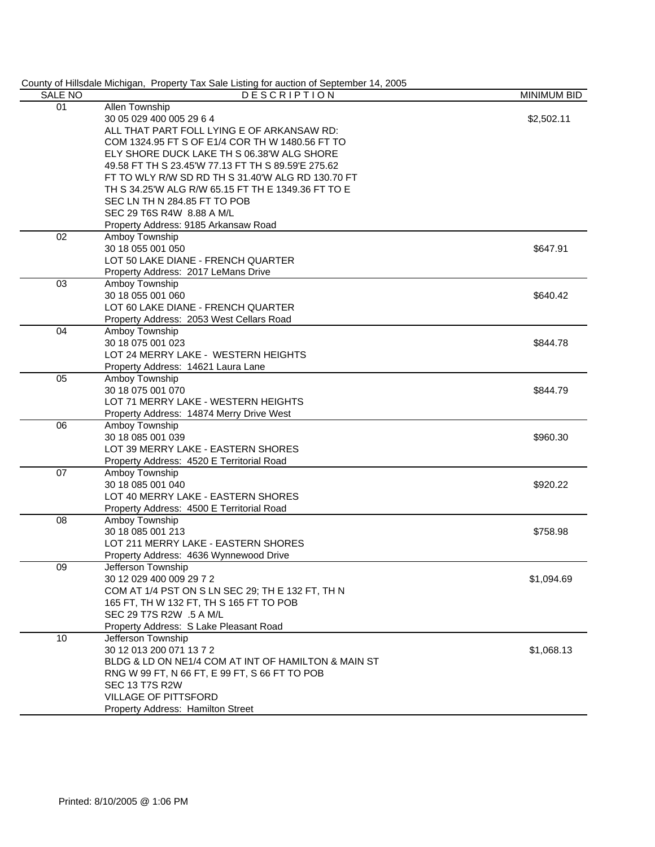|                 | County of Hillsdale Michigan, Property Tax Sale Listing for auction of September 14, 2005 |                    |
|-----------------|-------------------------------------------------------------------------------------------|--------------------|
| SALE NO         | <b>DESCRIPTION</b>                                                                        | <b>MINIMUM BID</b> |
| 01              | <b>Allen Township</b>                                                                     |                    |
|                 | 30 05 029 400 005 29 6 4                                                                  | \$2,502.11         |
|                 | ALL THAT PART FOLL LYING E OF ARKANSAW RD:                                                |                    |
|                 | COM 1324.95 FT S OF E1/4 COR TH W 1480.56 FT TO                                           |                    |
|                 | ELY SHORE DUCK LAKE TH S 06.38'W ALG SHORE                                                |                    |
|                 | 49.58 FT TH S 23.45'W 77.13 FT TH S 89.59'E 275.62                                        |                    |
|                 | FT TO WLY R/W SD RD TH S 31.40'W ALG RD 130.70 FT                                         |                    |
|                 | TH S 34.25'W ALG R/W 65.15 FT TH E 1349.36 FT TO E                                        |                    |
|                 | SEC LN TH N 284.85 FT TO POB                                                              |                    |
|                 | SEC 29 T6S R4W 8.88 A M/L                                                                 |                    |
|                 | Property Address: 9185 Arkansaw Road                                                      |                    |
| 02              | Amboy Township                                                                            |                    |
|                 | 30 18 055 001 050                                                                         | \$647.91           |
|                 | LOT 50 LAKE DIANE - FRENCH QUARTER                                                        |                    |
|                 | Property Address: 2017 LeMans Drive                                                       |                    |
| 03              | Amboy Township                                                                            |                    |
|                 | 30 18 055 001 060                                                                         | \$640.42           |
|                 | LOT 60 LAKE DIANE - FRENCH QUARTER                                                        |                    |
|                 | Property Address: 2053 West Cellars Road                                                  |                    |
| 04              | Amboy Township                                                                            |                    |
|                 | 30 18 075 001 023                                                                         | \$844.78           |
|                 | LOT 24 MERRY LAKE - WESTERN HEIGHTS                                                       |                    |
|                 | Property Address: 14621 Laura Lane                                                        |                    |
| 05              | Amboy Township                                                                            |                    |
|                 | 30 18 075 001 070                                                                         | \$844.79           |
|                 | LOT 71 MERRY LAKE - WESTERN HEIGHTS                                                       |                    |
|                 | Property Address: 14874 Merry Drive West                                                  |                    |
| 06              | Amboy Township                                                                            |                    |
|                 | 30 18 085 001 039                                                                         | \$960.30           |
|                 | LOT 39 MERRY LAKE - EASTERN SHORES                                                        |                    |
|                 | Property Address: 4520 E Territorial Road                                                 |                    |
| $\overline{07}$ | Amboy Township                                                                            |                    |
|                 | 30 18 085 001 040                                                                         | \$920.22           |
|                 | LOT 40 MERRY LAKE - EASTERN SHORES                                                        |                    |
|                 | Property Address: 4500 E Territorial Road                                                 |                    |
| 08              | Amboy Township                                                                            |                    |
|                 | 30 18 085 001 213                                                                         | \$758.98           |
|                 | LOT 211 MERRY LAKE - EASTERN SHORES                                                       |                    |
|                 | Property Address: 4636 Wynnewood Drive                                                    |                    |
| 09              | Jefferson Township                                                                        |                    |
|                 | 30 12 029 400 009 29 7 2                                                                  | \$1,094.69         |
|                 | COM AT 1/4 PST ON S LN SEC 29; TH E 132 FT, TH N                                          |                    |
|                 | 165 FT, TH W 132 FT, TH S 165 FT TO POB                                                   |                    |
|                 | SEC 29 T7S R2W .5 A M/L                                                                   |                    |
|                 | Property Address: S Lake Pleasant Road                                                    |                    |
| 10              | Jefferson Township                                                                        |                    |
|                 | 30 12 013 200 071 13 7 2                                                                  | \$1,068.13         |
|                 | BLDG & LD ON NE1/4 COM AT INT OF HAMILTON & MAIN ST                                       |                    |
|                 | RNG W 99 FT, N 66 FT, E 99 FT, S 66 FT TO POB                                             |                    |
|                 | <b>SEC 13 T7S R2W</b>                                                                     |                    |
|                 | <b>VILLAGE OF PITTSFORD</b>                                                               |                    |
|                 | Property Address: Hamilton Street                                                         |                    |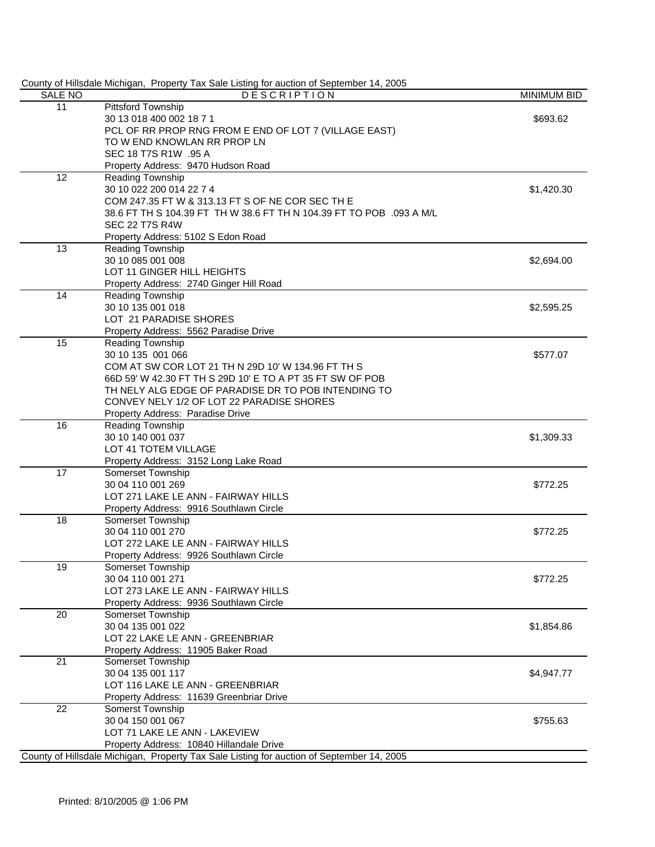| <b>SALE NO</b> | County of Hillsdale Michigan, Property Tax Sale Listing for auction of September 14, 2005<br><b>DESCRIPTION</b> | <b>MINIMUM BID</b> |
|----------------|-----------------------------------------------------------------------------------------------------------------|--------------------|
| 11             | Pittsford Township                                                                                              |                    |
|                | 30 13 018 400 002 18 7 1                                                                                        | \$693.62           |
|                | PCL OF RR PROP RNG FROM E END OF LOT 7 (VILLAGE EAST)                                                           |                    |
|                | TO W END KNOWLAN RR PROP LN                                                                                     |                    |
|                | SEC 18 T7S R1W .95 A                                                                                            |                    |
|                | Property Address: 9470 Hudson Road                                                                              |                    |
| 12             | Reading Township                                                                                                |                    |
|                | 30 10 022 200 014 22 7 4                                                                                        | \$1,420.30         |
|                | COM 247.35 FT W & 313.13 FT S OF NE COR SEC TH E                                                                |                    |
|                | 38.6 FT TH S 104.39 FT TH W 38.6 FT TH N 104.39 FT TO POB .093 A M/L                                            |                    |
|                | <b>SEC 22 T7S R4W</b>                                                                                           |                    |
|                | Property Address: 5102 S Edon Road                                                                              |                    |
| 13             | Reading Township                                                                                                |                    |
|                | 30 10 085 001 008                                                                                               | \$2,694.00         |
|                | LOT 11 GINGER HILL HEIGHTS                                                                                      |                    |
|                | Property Address: 2740 Ginger Hill Road                                                                         |                    |
| 14             | <b>Reading Township</b>                                                                                         |                    |
|                | 30 10 135 001 018                                                                                               | \$2,595.25         |
|                | LOT 21 PARADISE SHORES                                                                                          |                    |
|                | Property Address: 5562 Paradise Drive                                                                           |                    |
| 15             | Reading Township                                                                                                |                    |
|                | 30 10 135 001 066                                                                                               | \$577.07           |
|                | COM AT SW COR LOT 21 TH N 29D 10' W 134.96 FT TH S                                                              |                    |
|                | 66D 59' W 42.30 FT TH S 29D 10' E TO A PT 35 FT SW OF POB                                                       |                    |
|                | TH NELY ALG EDGE OF PARADISE DR TO POB INTENDING TO                                                             |                    |
|                | CONVEY NELY 1/2 OF LOT 22 PARADISE SHORES                                                                       |                    |
|                | Property Address: Paradise Drive                                                                                |                    |
| 16             | Reading Township                                                                                                |                    |
|                | 30 10 140 001 037                                                                                               | \$1,309.33         |
|                | LOT 41 TOTEM VILLAGE                                                                                            |                    |
|                | Property Address: 3152 Long Lake Road                                                                           |                    |
| 17             | Somerset Township                                                                                               |                    |
|                | 30 04 110 001 269                                                                                               | \$772.25           |
|                | LOT 271 LAKE LE ANN - FAIRWAY HILLS                                                                             |                    |
|                | Property Address: 9916 Southlawn Circle                                                                         |                    |
| 18             | <b>Somerset Township</b>                                                                                        |                    |
|                | 30 04 110 001 270                                                                                               | \$772.25           |
|                | LOT 272 LAKE LE ANN - FAIRWAY HILLS                                                                             |                    |
|                | Property Address: 9926 Southlawn Circle                                                                         |                    |
| 19             | Somerset Township                                                                                               |                    |
|                | 30 04 110 001 271                                                                                               | \$772.25           |
|                | LOT 273 LAKE LE ANN - FAIRWAY HILLS                                                                             |                    |
|                | Property Address: 9936 Southlawn Circle                                                                         |                    |
| 20             | Somerset Township                                                                                               |                    |
|                | 30 04 135 001 022                                                                                               | \$1,854.86         |
|                | LOT 22 LAKE LE ANN - GREENBRIAR                                                                                 |                    |
|                | Property Address: 11905 Baker Road                                                                              |                    |
| 21             | Somerset Township                                                                                               |                    |
|                | 30 04 135 001 117                                                                                               | \$4,947.77         |
|                | LOT 116 LAKE LE ANN - GREENBRIAR                                                                                |                    |
|                | Property Address: 11639 Greenbriar Drive                                                                        |                    |
| 22             | Somerst Township                                                                                                |                    |
|                | 30 04 150 001 067                                                                                               | \$755.63           |
|                | LOT 71 LAKE LE ANN - LAKEVIEW                                                                                   |                    |
|                | Property Address: 10840 Hillandale Drive                                                                        |                    |
|                | County of Hillsdale Michigan, Property Tax Sale Listing for auction of September 14, 2005                       |                    |
|                |                                                                                                                 |                    |